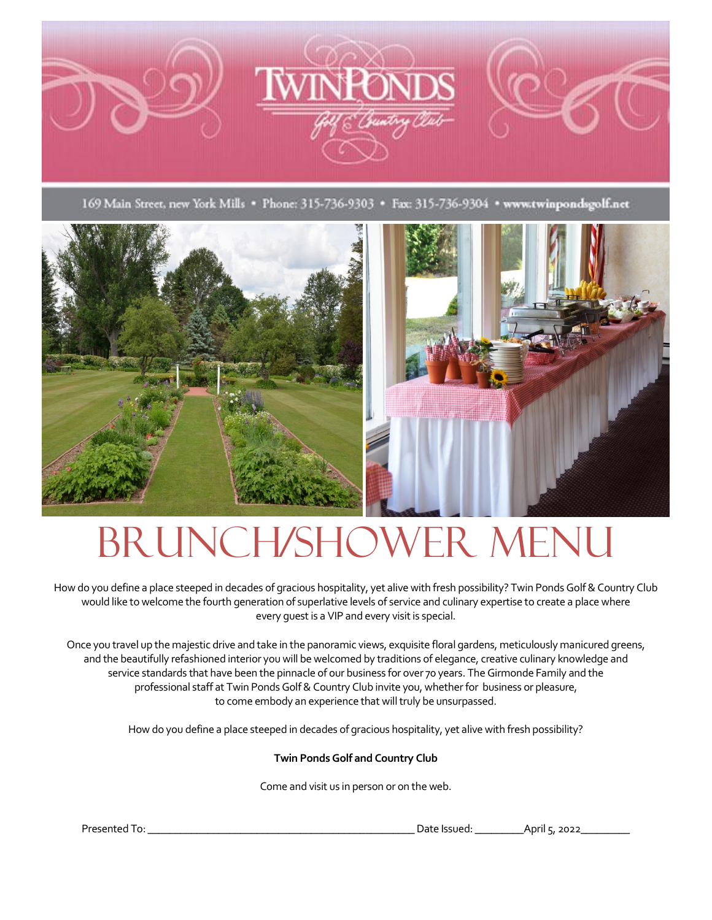

169 Main Street, new York Mills · Phone: 315-736-9303 · Fax: 315-736-9304 · www.twinpondsgolf.net





# BRUNCH/SHOWER MENU

How do you define a place steeped in decades of gracious hospitality, yet alive with fresh possibility? Twin Ponds Golf & Country Club would like to welcome the fourth generation of superlative levels of service and culinary expertise to create a place where every guest is a VIP and every visit is special.

Once you travel up the majestic drive and take in the panoramic views, exquisite floral gardens, meticulously manicured greens, and the beautifully refashioned interior you will be welcomed by traditions of elegance, creative culinary knowledge and service standards that have been the pinnacle of our business for over 70 years. The Girmonde Family and the professional staff at Twin Ponds Golf & Country Club invite you, whether for business or pleasure, to come embody an experience that will truly be unsurpassed.

How do you define a place steeped in decades of gracious hospitality, yet alive with fresh possibility?

#### **Twin Ponds Golf and Country Club**

Come and visit us in person or on the web.

Presented To: \_\_\_\_\_\_\_\_\_\_\_\_\_\_\_\_\_\_\_\_\_\_\_\_\_\_\_\_\_\_\_\_\_\_\_\_\_\_\_\_\_\_\_\_\_\_\_\_\_Date Issued: \_\_\_\_\_\_\_\_\_April 5, 2022\_\_\_\_\_\_\_\_\_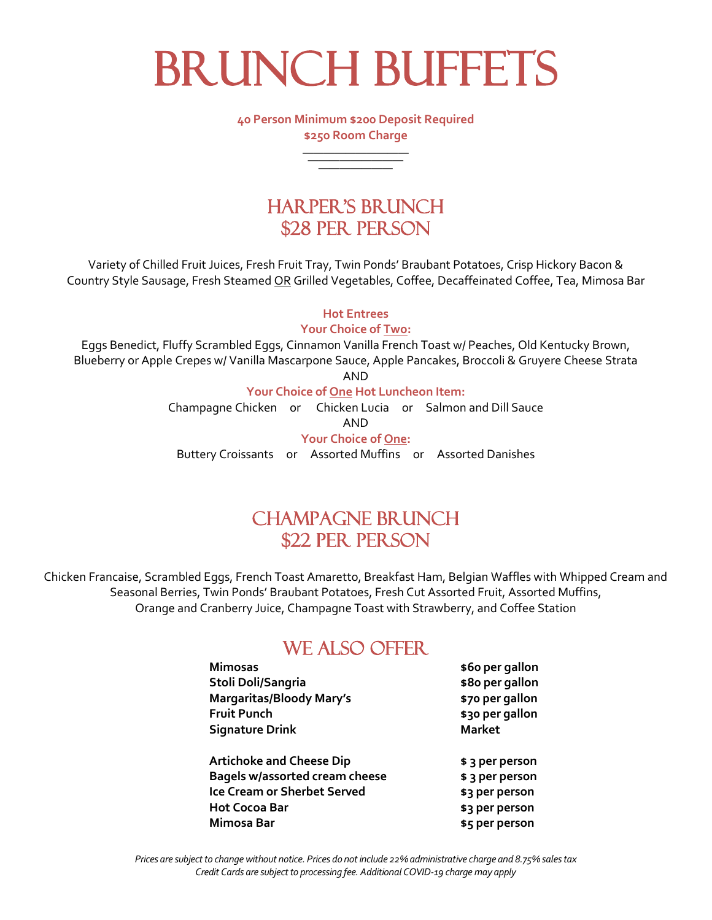**BRUNCH BUFFETS** 

**40 Person Minimum \$200 Deposit Required \$250 Room Charge**

—————————— ————————— ———————

### Harper's Brunch \$28 PER PERSON

Variety of Chilled Fruit Juices, Fresh Fruit Tray, Twin Ponds' Braubant Potatoes, Crisp Hickory Bacon & Country Style Sausage, Fresh Steamed OR Grilled Vegetables, Coffee, Decaffeinated Coffee, Tea, Mimosa Bar

**Hot Entrees**

**Your Choice of Two:**

Eggs Benedict, Fluffy Scrambled Eggs, Cinnamon Vanilla French Toast w/ Peaches, Old Kentucky Brown, Blueberry or Apple Crepes w/ Vanilla Mascarpone Sauce, Apple Pancakes, Broccoli & Gruyere Cheese Strata

AND

**Your Choice of One Hot Luncheon Item:**

Champagne Chicken or Chicken Lucia or Salmon and Dill Sauce

AND

**Your Choice of One:** Buttery Croissants or Assorted Muffins or Assorted Danishes

### CHAMPAGNE BRUNCH \$22 PER PERSON

Chicken Francaise, Scrambled Eggs, French Toast Amaretto, Breakfast Ham, Belgian Waffles with Whipped Cream and Seasonal Berries, Twin Ponds' Braubant Potatoes, Fresh Cut Assorted Fruit, Assorted Muffins, Orange and Cranberry Juice, Champagne Toast with Strawberry, and Coffee Station

### WE ALSO OFFER

| <b>Mimosas</b>                     | \$60 per gallon |
|------------------------------------|-----------------|
| Stoli Doli/Sangria                 | \$80 per gallon |
| <b>Margaritas/Bloody Mary's</b>    | \$70 per gallon |
| <b>Fruit Punch</b>                 | \$30 per gallon |
| <b>Signature Drink</b>             | <b>Market</b>   |
| <b>Artichoke and Cheese Dip</b>    | \$ 3 per person |
| Bagels w/assorted cream cheese     | \$ 3 per person |
| <b>Ice Cream or Sherbet Served</b> | \$3 per person  |
| <b>Hot Cocoa Bar</b>               | \$3 per person  |
| Mimosa Bar                         | \$5 per person  |

*Prices are subject to change without notice. Prices do not include 22% administrative charge and 8.75% sales tax Credit Cards are subject to processing fee. Additional COVID-19 charge may apply*